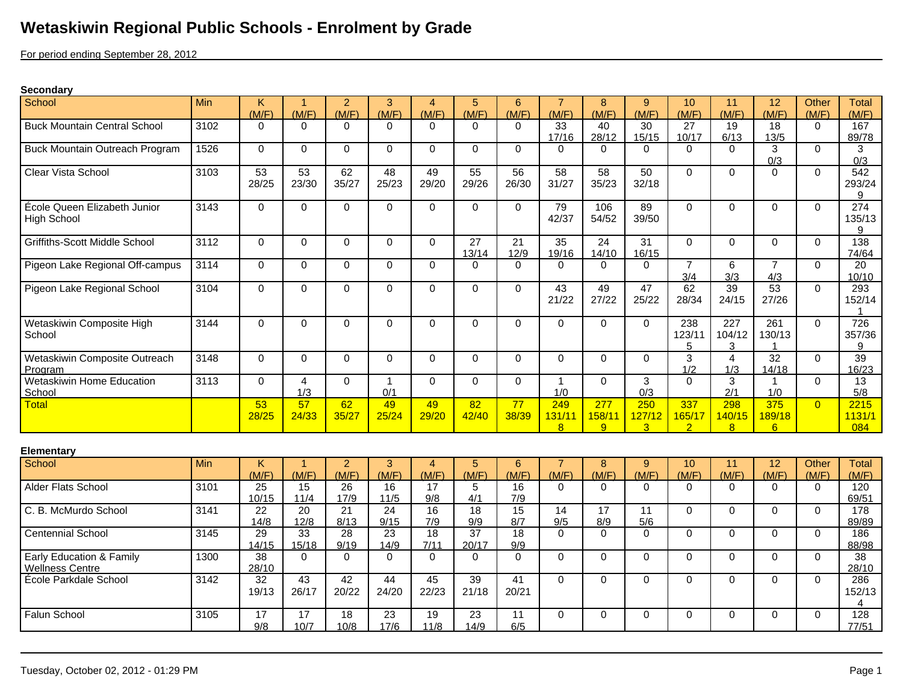## **Wetaskiwin Regional Public Schools - Enrolment by Grade**

For period ending September 28, 2012

## **Secondary**

| School                                             | Min  | K.<br>(M/F) | -1<br>(M/F)                   | 2<br>(M/F)              | 3<br>(M/F)               | 4<br>(M/F)              | 5<br>(M/F)               | 6<br>(M/F)             | (M/F)                   | 8<br>(M/F)                      | 9<br>(M/F)                      | 10<br>(M/F)                     | 11<br>(M/F)           | 12<br>(M/F)              | Other<br>(M/F) | Total<br>(M/F)                  |
|----------------------------------------------------|------|-------------|-------------------------------|-------------------------|--------------------------|-------------------------|--------------------------|------------------------|-------------------------|---------------------------------|---------------------------------|---------------------------------|-----------------------|--------------------------|----------------|---------------------------------|
| <b>Buck Mountain Central School</b>                | 3102 | $\Omega$    | $\Omega$                      | $\Omega$                | $\Omega$                 | $\Omega$                | $\Omega$                 | $\Omega$               | 33<br>17/16             | 40<br>28/12                     | 30<br>15/15                     | 27<br>10/17                     | 19<br>6/13            | 18<br>13/5               | $\Omega$       | 167<br>89/78                    |
| Buck Mountain Outreach Program                     | 1526 | $\Omega$    | $\Omega$                      | $\Omega$                | $\Omega$                 | $\Omega$                | $\Omega$                 | $\Omega$               | $\Omega$                | $\Omega$                        | $\Omega$                        | $\Omega$                        | $\Omega$              | 3<br>0/3                 | $\Omega$       | 3<br>0/3                        |
| <b>Clear Vista School</b>                          | 3103 | 53<br>28/25 | 53<br>23/30                   | 62<br>35/27             | $\overline{48}$<br>25/23 | 49<br>29/20             | $\overline{55}$<br>29/26 | 56<br>26/30            | 58<br>31/27             | 58<br>35/23                     | 50<br>32/18                     | $\mathbf 0$                     | $\Omega$              | $\Omega$                 | $\Omega$       | 542<br>293/24<br>9              |
| École Queen Elizabeth Junior<br><b>High School</b> | 3143 | $\Omega$    | $\Omega$                      | $\mathbf 0$             | $\mathbf 0$              | $\Omega$                | $\Omega$                 | $\mathbf{0}$           | 79<br>42/37             | 106<br>54/52                    | 89<br>39/50                     | $\mathbf 0$                     | $\Omega$              | $\Omega$                 | $\mathbf{0}$   | 274<br>135/13<br>9              |
| <b>Griffiths-Scott Middle School</b>               | 3112 | $\Omega$    | $\Omega$                      | $\mathbf 0$             | $\mathbf 0$              | $\Omega$                | 27<br>13/14              | 21<br>12/9             | 35<br>19/16             | 24<br>14/10                     | 31<br>16/15                     | $\Omega$                        | $\Omega$              | $\Omega$                 | $\Omega$       | 138<br>74/64                    |
| Pigeon Lake Regional Off-campus                    | 3114 | $\Omega$    | $\Omega$                      | $\mathbf 0$             | $\mathbf 0$              | $\Omega$                | $\Omega$                 | $\Omega$               | $\Omega$                | $\Omega$                        | $\Omega$                        | $\overline{7}$<br>3/4           | 6<br>3/3              | $\overline{7}$<br>4/3    | $\Omega$       | 20<br>10/10                     |
| Pigeon Lake Regional School                        | 3104 | $\Omega$    | $\Omega$                      | $\mathbf 0$             | $\mathbf 0$              | $\Omega$                | $\Omega$                 | $\Omega$               | 43<br>21/22             | 49<br>27/22                     | 47<br>25/22                     | 62<br>28/34                     | 39<br>24/15           | 53<br>27/26              | $\Omega$       | 293<br>152/14                   |
| Wetaskiwin Composite High<br>School                | 3144 | $\mathbf 0$ | $\mathbf 0$                   | $\mathbf 0$             | $\mathbf 0$              | $\Omega$                | $\Omega$                 | $\Omega$               | $\Omega$                | $\Omega$                        | $\mathbf 0$                     | 238<br>123/11<br>5              | 227<br>104/12<br>3    | 261<br>130/13            | $\Omega$       | 726<br>357/36<br>9              |
| Wetaskiwin Composite Outreach<br>Program           | 3148 | $\Omega$    | $\Omega$                      | $\Omega$                | $\mathbf 0$              | $\Omega$                | $\Omega$                 | $\Omega$               | $\Omega$                | $\Omega$                        | $\Omega$                        | $\overline{3}$<br>1/2           | $\overline{4}$<br>1/3 | $\overline{32}$<br>14/18 | $\Omega$       | 39<br>16/23                     |
| Wetaskiwin Home Education<br>School                | 3113 | $\Omega$    | 4<br>1/3                      | $\mathbf 0$             | $\mathbf{1}$<br>0/1      | $\Omega$                | $\Omega$                 | $\mathbf{0}$           | $\mathbf{1}$<br>1/0     | $\Omega$                        | 3<br>0/3                        | $\Omega$                        | 3<br>2/1              | $\mathbf{1}$<br>1/0      | $\Omega$       | 13<br>5/8                       |
| Total                                              |      | 53<br>28/25 | 57<br>24/33                   | 62<br>35/27             | 49<br>25/24              | 49<br>29/20             | $\overline{82}$<br>42/40 | 77<br>38/39            | 249<br>131/11<br>8      | $\overline{277}$<br>158/11<br>9 | 250<br>127/12<br>$\overline{3}$ | 337<br>165/17<br>$\overline{2}$ | 298<br>140/15<br>8    | 375<br>189/18<br>6       | $\Omega$       | 2215<br>1131/1<br>084           |
| <b>Elementary</b>                                  |      |             |                               |                         |                          |                         |                          |                        |                         |                                 |                                 |                                 |                       |                          |                |                                 |
| School                                             | Min  | K.<br>(M/F) | $\blacktriangleleft$<br>(M/F) | $\overline{2}$<br>(M/F) | 3<br>(M/F)               | $\overline{4}$<br>(M/F) | $\overline{5}$<br>(M/F)  | 6<br>(M/F)             | $\overline{7}$<br>(M/F) | 8<br>(M/F)                      | $9\,$<br>(M/F)                  | 10<br>(M/F)                     | 11<br>(M/F)           | 12<br>(M/F)              | Other<br>(M/F) | <b>Total</b><br>(M/F)           |
| Alder Flats School                                 | 3101 | 25<br>10/15 | $\overline{15}$<br>11/4       | 26<br>17/9              | 16<br>11/5               | 17<br>9/8               | 5<br>4/1                 | 16<br>7/9              | $\Omega$                | $\Omega$                        | $\Omega$                        | $\Omega$                        | $\Omega$              | $\Omega$                 | $\Omega$       | 120<br>69/51                    |
| C. B. McMurdo School                               | 3141 | 22<br>14/8  | $\overline{20}$<br>12/8       | $\overline{21}$<br>8/13 | $\overline{24}$<br>9/15  | 16<br>7/9               | $\overline{18}$<br>9/9   | $\overline{15}$<br>8/7 | 14<br>9/5               | $\overline{17}$<br>8/9          | $\overline{11}$<br>5/6          | $\mathbf 0$                     | $\Omega$              | $\Omega$                 | $\Omega$       | 178<br>89/89                    |
| <b>Centennial School</b>                           | 3145 | 29<br>14/15 | $\overline{33}$<br>15/18      | $\overline{28}$<br>9/19 | $\overline{23}$<br>14/9  | $\overline{18}$<br>7/11 | $\overline{37}$<br>20/17 | 18<br>9/9              | $\Omega$                | $\Omega$                        | $\mathbf 0$                     | 0                               | $\mathbf 0$           | $\Omega$                 | $\mathbf 0$    | 186<br>88/98                    |
| Early Education & Family<br><b>Wellness Centre</b> | 1300 | 38<br>28/10 | $\Omega$                      | $\Omega$                | $\Omega$                 | $\Omega$                | $\Omega$                 | $\Omega$               | $\Omega$                | $\Omega$                        | $\Omega$                        | $\mathbf 0$                     | $\Omega$              | $\Omega$                 | $\Omega$       | 38<br>28/10                     |
| École Parkdale School                              | 3142 | 32<br>19/13 | 43<br>26/17                   | 42<br>20/22             | 44<br>24/20              | 45<br>22/23             | 39<br>21/18              | 41<br>20/21            | $\Omega$                | $\Omega$                        | $\mathbf 0$                     | $\mathbf 0$                     | $\Omega$              | $\Omega$                 | $\mathbf{0}$   | 286<br>152/13<br>$\overline{4}$ |
| Falun School                                       | 3105 | 17<br>9/8   | 17<br>10/7                    | 18<br>10/8              | 23<br>17/6               | 19<br>11/8              | $\overline{23}$<br>14/9  | 11<br>6/5              | $\Omega$                | $\Omega$                        | $\Omega$                        | $\Omega$                        | $\Omega$              | $\Omega$                 | $\Omega$       | 128<br>77/51                    |